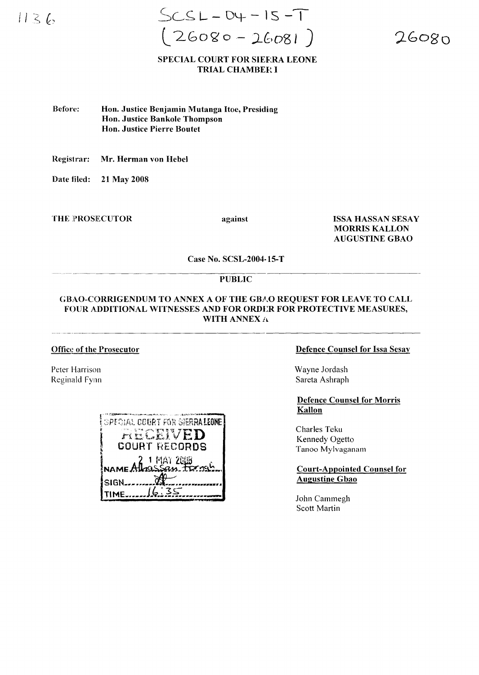$1136$ 

 $SCSL - DY - IS - T$  $(26080 - 26081)$ 

 $26080$ 

# **SPECIAL COURT FOR SIEFRA LEONE TRIAL CHAMBER I**

Before: Hon. Justice Benjamin Mutanga Itoe, Presiding Hon. Justice Bankole Thompson **Hon. Justice Pierre Boutet** 

Registrar: Mr. Herman von Hebel

Date filed: 21 May 2008

**THE PROSECUTOR** 

against

**ISSA HASSAN SESAY MORRIS KALLON AUGUSTINE GBAO** 

Case No. SCSL-2004-15-T

### **PUBLIC**

# **GBAO-CORRIGENDUM TO ANNEX A OF THE GBAO REOUEST FOR LEAVE TO CALL** FOUR ADDITIONAL WITNESSES AND FOR ORDER FOR PROTECTIVE MEASURES, WITH ANNEX A

### **Office of the Prosecutor**

Peter Harrison Reginald Fynn

| <b>SPECIAL COURT FOR SIERRALEONE</b> |
|--------------------------------------|
| RECEIVED                             |
| <b>COURT RECORDS</b>                 |
| 2 1 MAY 2018                         |
|                                      |
| SIGN.                                |
|                                      |

### **Defence Counsel for Issa Sesay**

Wayne Jordash Sareta Ashraph

**Defence Counsel for Morris** Kallon

Charles Teku Kennedy Ogetto Tanoo Mylvaganam

**Court-Appointed Counsel for Augustine Gbao** 

John Cammegh Scott Martin